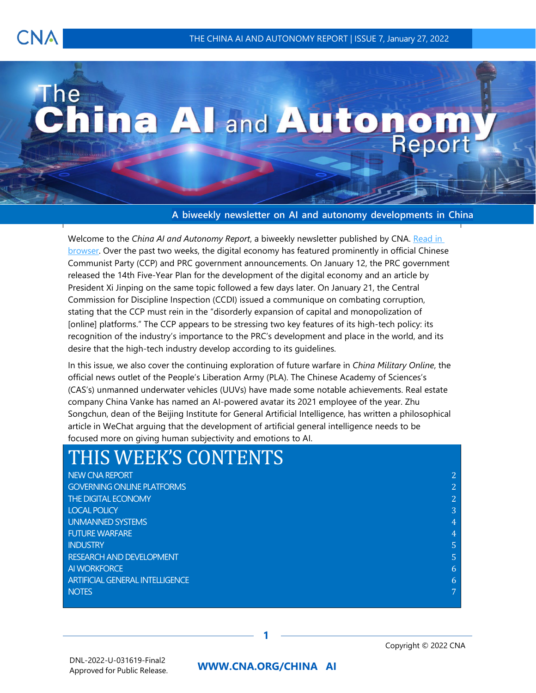

# **The** China Alland Autonom

**A biweekly newsletter on AI and autonomy developments in China**

Welcome to the *China AI and Autonomy Report*, a biweekly newsletter published by CNA. [Read in](http://www.cna.org/china-ai)  [browser.](http://www.cna.org/china-ai) Over the past two weeks, the digital economy has featured prominently in official Chinese Communist Party (CCP) and PRC government announcements. On January 12, the PRC government released the 14th Five-Year Plan for the development of the digital economy and an article by President Xi Jinping on the same topic followed a few days later. On January 21, the Central Commission for Discipline Inspection (CCDI) issued a communique on combating corruption, stating that the CCP must rein in the "disorderly expansion of capital and monopolization of [online] platforms." The CCP appears to be stressing two key features of its high-tech policy: its recognition of the industry's importance to the PRC's development and place in the world, and its desire that the high-tech industry develop according to its guidelines.

In this issue, we also cover the continuing exploration of future warfare in *China Military Online*, the official news outlet of the People's Liberation Army (PLA). The Chinese Academy of Sciences's (CAS's) unmanned underwater vehicles (UUVs) have made some notable achievements. Real estate company China Vanke has named an AI-powered avatar its 2021 employee of the year. Zhu Songchun, dean of the Beijing Institute for General Artificial Intelligence, has written a philosophical article in WeChat arguing that the development of artificial general intelligence needs to be focused more on giving human subjectivity and emotions to AI.

# [THIS WEEK'S CONTENTS](#page-1-0)

| NEW CNA REPORT                    | 2 |
|-----------------------------------|---|
| <b>GOVERNING ONLINE PLATFORMS</b> | 2 |
| THE DIGITAL ECONOMY               | 2 |
| <b>LOCAL POLICY</b>               | 3 |
| <b>UNMANNED SYSTEMS</b>           | 4 |
| <b>FUTURE WARFARE</b>             | 4 |
| <b>INDUSTRY</b>                   | 5 |
| <b>RESEARCH AND DEVELOPMENT</b>   | 5 |
| AI WORKFORCE                      | 6 |
| ARTIFICIAL GENERAL INTELLIGENCE   | 6 |
| <b>NOTES</b>                      | 7 |
|                                   |   |

**1**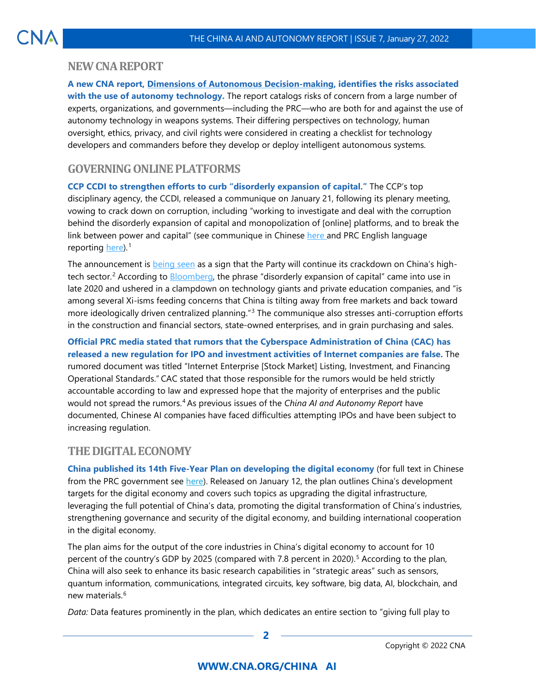#### <span id="page-1-0"></span>**NEW CNA REPORT**

**A new CNA report, [Dimensions of Autonomous Decision-making,](https://www.cna.org/CNA_files/PDF/Dimensions-of-Autonomous-Decision-making.pdf) identifies the risks associated with the use of autonomy technology.** The report catalogs risks of concern from a large number of experts, organizations, and governments—including the PRC—who are both for and against the use of autonomy technology in weapons systems. Their differing perspectives on technology, human oversight, ethics, privacy, and civil rights were considered in creating a checklist for technology developers and commanders before they develop or deploy intelligent autonomous systems.

#### <span id="page-1-1"></span>**GOVERNING ONLINE PLATFORMS**

**CCP CCDI to strengthen efforts to curb "disorderly expansion of capital."** The CCP's top disciplinary agency, the CCDI, released a communique on January 21, following its plenary meeting, vowing to crack down on corruption, including "working to investigate and deal with the corruption behind the disorderly expansion of capital and monopolization of [online] platforms, and to break the link between power and capital" (see communique in Chinese [here](http://paper.people.com.cn/rmrb/html/2022-01/21/nw.D110000renmrb_20220121_1-01.htm) and PRC English language reporting [here\)](https://www.chinadaily.com.cn/a/202201/21/WS61e9ecbba310cdd39bc825aa.html).<sup>[1](#page-6-1)</sup>

The announcement is [being seen](https://uk.news.yahoo.com/china-vows-curb-technology-firms-125625713.html?guccounter=1&guce_referrer=aHR0cHM6Ly93d3cuZ29vZ2xlLmNvbS8&guce_referrer_sig=AQAAAEIllW_dHjZuTfpRLR2ekV8RekxIkWdBZVj3x9bFeclt05louoMYiV_4gdODp1ltHQGFi747rwrfnTh1ls_5s97U-PhzdgwoxL8ajR_0_X-lgPZNaQ7zBV-NflQaCj0Ufz1QLDG8rNLeQ5qywZXWKThwsHvDgzW6exe5V0wSh3l2) as a sign that the Party will continue its crackdown on China's high-tech sector.<sup>[2](#page-6-2)</sup> According to [Bloomberg,](https://www.bloomberg.com/news/articles/2021-09-09/what-xi-means-by-disorderly-capital-is-1-5-trillion-question) the phrase "disorderly expansion of capital" came into use in late 2020 and ushered in a clampdown on technology giants and private education companies, and "is among several Xi-isms feeding concerns that China is tilting away from free markets and back toward more ideologically driven centralized planning."<sup>[3](#page-6-3)</sup> The communique also stresses anti-corruption efforts in the construction and financial sectors, state-owned enterprises, and in grain purchasing and sales.

**Official PRC media stated that rumors that the Cyberspace Administration of China (CAC) has released a new regulation for IPO and investment activities of Internet companies are false.** The rumored document was titled "Internet Enterprise [Stock Market] Listing, Investment, and Financing Operational Standards." CAC stated that those responsible for the rumors would be held strictly accountable according to law and expressed hope that the majority of enterprises and the public would not spread the rumors.[4](#page-6-4) As previous issues of the *China AI and Autonomy Report* have documented, Chinese AI companies have faced difficulties attempting IPOs and have been subject to increasing regulation.

#### <span id="page-1-2"></span>**THE DIGITAL ECONOMY**

**China published its 14th Five-Year Plan on developing the digital economy** (for full text in Chinese from the PRC government see [here\)](http://www.gov.cn/zhengce/content/2022-01/12/content_5667817.htm). Released on January 12, the plan outlines China's development targets for the digital economy and covers such topics as upgrading the digital infrastructure, leveraging the full potential of China's data, promoting the digital transformation of China's industries, strengthening governance and security of the digital economy, and building international cooperation in the digital economy.

The plan aims for the output of the core industries in China's digital economy to account for 10 percent of the country's GDP by 202[5](#page-6-5) (compared with 7.8 percent in 2020).<sup>5</sup> According to the plan, China will also seek to enhance its basic research capabilities in "strategic areas" such as sensors, quantum information, communications, integrated circuits, key software, big data, AI, blockchain, and new materials.<sup>[6](#page-6-6)</sup>

*Data:* Data features prominently in the plan, which dedicates an entire section to "giving full play to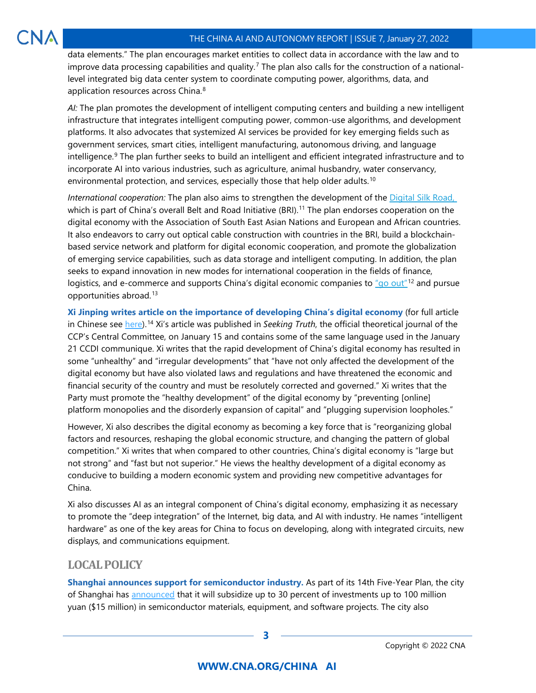data elements." The plan encourages market entities to collect data in accordance with the law and to improve data processing capabilities and quality.<sup>[7](#page-6-7)</sup> The plan also calls for the construction of a nationallevel integrated big data center system to coordinate computing power, algorithms, data, and application resources across China.<sup>[8](#page-6-8)</sup>

*AI:* The plan promotes the development of intelligent computing centers and building a new intelligent infrastructure that integrates intelligent computing power, common-use algorithms, and development platforms. It also advocates that systemized AI services be provided for key emerging fields such as government services, smart cities, intelligent manufacturing, autonomous driving, and language intelligence.<sup>[9](#page-6-9)</sup> The plan further seeks to build an intelligent and efficient integrated infrastructure and to incorporate AI into various industries, such as agriculture, animal husbandry, water conservancy, environmental protection, and services, especially those that help older adults.<sup>[10](#page-7-0)</sup>

*International cooperation:* The plan also aims to strengthen the development of the [Digital Silk Road,](https://www.cfr.org/china-digital-silk-road/)  which is part of China's overall Belt and Road Initiative (BRI).<sup>[11](#page-7-1)</sup> The plan endorses cooperation on the digital economy with the Association of South East Asian Nations and European and African countries. It also endeavors to carry out optical cable construction with countries in the BRI, build a blockchainbased service network and platform for digital economic cooperation, and promote the globalization of emerging service capabilities, such as data storage and intelligent computing. In addition, the plan seeks to expand innovation in new modes for international cooperation in the fields of finance, logistics, and e-commerce and supports China's digital economic companies to ["go out"](https://www.uscc.gov/sites/default/files/Research/GoingOut.pdf)<sup>[12](#page-7-2)</sup> and pursue opportunities abroad. [13](#page-7-3)

**Xi Jinping writes article on the importance of developing China's digital economy** (for full article in Chinese see [here\)](http://www.qstheory.cn/dukan/qs/2022-01/15/c_1128261632.htm).[14](#page-7-4) Xi's article was published in *Seeking Truth*, the official theoretical journal of the CCP's Central Committee, on January 15 and contains some of the same language used in the January 21 CCDI communique. Xi writes that the rapid development of China's digital economy has resulted in some "unhealthy" and "irregular developments" that "have not only affected the development of the digital economy but have also violated laws and regulations and have threatened the economic and financial security of the country and must be resolutely corrected and governed." Xi writes that the Party must promote the "healthy development" of the digital economy by "preventing [online] platform monopolies and the disorderly expansion of capital" and "plugging supervision loopholes."

However, Xi also describes the digital economy as becoming a key force that is "reorganizing global factors and resources, reshaping the global economic structure, and changing the pattern of global competition." Xi writes that when compared to other countries, China's digital economy is "large but not strong" and "fast but not superior." He views the healthy development of a digital economy as conducive to building a modern economic system and providing new competitive advantages for China.

Xi also discusses AI as an integral component of China's digital economy, emphasizing it as necessary to promote the "deep integration" of the Internet, big data, and AI with industry. He names "intelligent hardware" as one of the key areas for China to focus on developing, along with integrated circuits, new displays, and communications equipment.

# <span id="page-2-0"></span>**LOCAL POLICY**

**Shanghai announces support for semiconductor industry.** As part of its 14th Five-Year Plan, the city of Shanghai has [announced](https://www.shanghai.gov.cn/nw12344/20220119/8eb27ef45ced41a2a1a14a56b86596f6.html) that it will subsidize up to 30 percent of investments up to 100 million yuan (\$15 million) in semiconductor materials, equipment, and software projects. The city also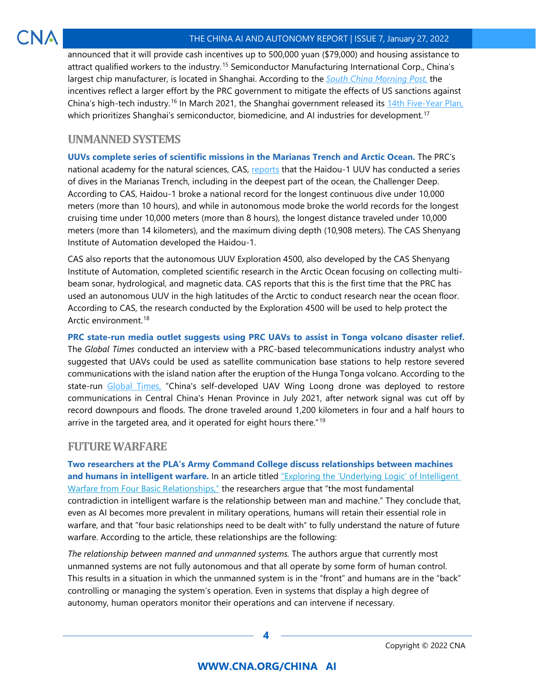announced that it will provide cash incentives up to 500,000 yuan (\$79,000) and housing assistance to attract qualified workers to the industry.<sup>[15](#page-7-5)</sup> Semiconductor Manufacturing International Corp., China's largest chip manufacturer, is located in Shanghai. According to the *[South China Morning Post,](https://www.scmp.com/tech/tech-war/article/3163966/us-china-tech-war-shanghai-showers-cash-woo-semiconductor-talent-and)* the incentives reflect a larger effort by the PRC government to mitigate the effects of US sanctions against China's high-tech industry.[16](#page-7-6) In March 2021, the Shanghai government released its [14th Five-Year Plan,](https://fgw.sh.gov.cn/shssswghgy/index.html) which prioritizes Shanghai's semiconductor, biomedicine, and AI industries for development.<sup>[17](#page-7-7)</sup>

#### <span id="page-3-0"></span>**UNMANNED SYSTEMS**

**UUVs complete series of scientific missions in the Marianas Trench and Arctic Ocean.** The PRC's national academy for the natural sciences, CAS, [reports](https://www.cas.cn/jh/202201/t20220111_4821659.shtml) that the Haidou-1 UUV has conducted a series of dives in the Marianas Trench, including in the deepest part of the ocean, the Challenger Deep. According to CAS, Haidou-1 broke a national record for the longest continuous dive under 10,000 meters (more than 10 hours), and while in autonomous mode broke the world records for the longest cruising time under 10,000 meters (more than 8 hours), the longest distance traveled under 10,000 meters (more than 14 kilometers), and the maximum diving depth (10,908 meters). The CAS Shenyang Institute of Automation developed the Haidou-1.

CAS also reports that the autonomous UUV Exploration 4500, also developed by the CAS Shenyang Institute of Automation, completed scientific research in the Arctic Ocean focusing on collecting multibeam sonar, hydrological, and magnetic data. CAS reports that this is the first time that the PRC has used an autonomous UUV in the high latitudes of the Arctic to conduct research near the ocean floor. According to CAS, the research conducted by the Exploration 4500 will be used to help protect the Arctic environment.<sup>[18](#page-7-8)</sup>

**PRC state-run media outlet suggests using PRC UAVs to assist in Tonga volcano disaster relief.**  The *Global Times* conducted an interview with a PRC-based telecommunications industry analyst who suggested that UAVs could be used as satellite communication base stations to help restore severed communications with the island nation after the eruption of the Hunga Tonga volcano. According to the state-run [Global Times,](https://www.globaltimes.cn/page/202201/1246404.shtml) "China's self-developed UAV Wing Loong drone was deployed to restore communications in Central China's Henan Province in July 2021, after network signal was cut off by record downpours and floods. The drone traveled around 1,200 kilometers in four and a half hours to arrive in the targeted area, and it operated for eight hours there."<sup>[19](#page-7-9)</sup>

#### <span id="page-3-1"></span>**FUTURE WARFARE**

**Two researchers at the PLA's Army Command College discuss relationships between machines**  and humans in intelligent warfare. In an article titled "Exploring the 'Underlying Logic' of Intelligent [Warfare from Four Basic Relationships,"](http://www.81.cn/yw/2022-01/11/content_10122272.htm) the researchers argue that "the most fundamental contradiction in intelligent warfare is the relationship between man and machine." They conclude that, even as AI becomes more prevalent in military operations, humans will retain their essential role in warfare, and that "four basic relationships need to be dealt with" to fully understand the nature of future warfare. According to the article, these relationships are the following:

*The relationship between manned and unmanned systems.* The authors argue that currently most unmanned systems are not fully autonomous and that all operate by some form of human control. This results in a situation in which the unmanned system is in the "front" and humans are in the "back" controlling or managing the system's operation. Even in systems that display a high degree of autonomy, human operators monitor their operations and can intervene if necessary.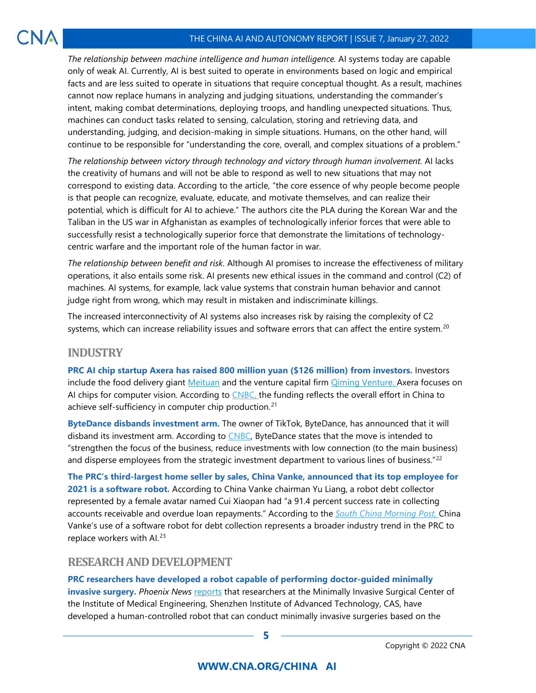*The relationship between machine intelligence and human intelligence.* AI systems today are capable only of weak AI. Currently, AI is best suited to operate in environments based on logic and empirical facts and are less suited to operate in situations that require conceptual thought. As a result, machines cannot now replace humans in analyzing and judging situations, understanding the commander's intent, making combat determinations, deploying troops, and handling unexpected situations. Thus, machines can conduct tasks related to sensing, calculation, storing and retrieving data, and understanding, judging, and decision-making in simple situations. Humans, on the other hand, will continue to be responsible for "understanding the core, overall, and complex situations of a problem."

*The relationship between victory through technology and victory through human involvement.* AI lacks the creativity of humans and will not be able to respond as well to new situations that may not correspond to existing data. According to the article, "the core essence of why people become people is that people can recognize, evaluate, educate, and motivate themselves, and can realize their potential, which is difficult for AI to achieve." The authors cite the PLA during the Korean War and the Taliban in the US war in Afghanistan as examples of technologically inferior forces that were able to successfully resist a technologically superior force that demonstrate the limitations of technologycentric warfare and the important role of the human factor in war.

*The relationship between benefit and risk.* Although AI promises to increase the effectiveness of military operations, it also entails some risk. AI presents new ethical issues in the command and control (C2) of machines. AI systems, for example, lack value systems that constrain human behavior and cannot judge right from wrong, which may result in mistaken and indiscriminate killings.

The increased interconnectivity of AI systems also increases risk by raising the complexity of C2 systems, which can increase reliability issues and software errors that can affect the entire system.<sup>[20](#page-7-10)</sup>

# <span id="page-4-0"></span>**INDUSTRY**

**PRC AI chip startup Axera has raised 800 million yuan (\$126 million) from investors.** Investors include the food delivery giant [Meituan](https://about.meituan.com/en) and the venture capital firm *Qiming Venture*. Axera focuses on AI chips for computer vision. According to [CNBC,](https://www.cnbc.com/2022/01/17/meituan-backs-chip-start-up-as-chinese-giants-pour-money-into-space.html) the funding reflects the overall effort in China to achieve self-sufficiency in computer chip production.<sup>[21](#page-7-11)</sup>

**ByteDance disbands investment arm.** The owner of TikTok, ByteDance, has announced that it will disband its investment arm. According to [CNBC,](https://www.cnbc.com/2022/01/19/china-tech-tiktok-owner-bytedance-dissolves-its-investment-arm.html?__source=google%7Ceditorspicks%7C&par=google) ByteDance states that the move is intended to "strengthen the focus of the business, reduce investments with low connection (to the main business) and disperse employees from the strategic investment department to various lines of business."<sup>[22](#page-7-12)</sup>

**The PRC's third-largest home seller by sales, China Vanke, announced that its top employee for 2021 is a software robot.** According to China Vanke chairman Yu Liang, a robot debt collector represented by a female avatar named Cui Xiaopan had "a 91.4 percent success rate in collecting accounts receivable and overdue loan repayments." According to the *[South China Morning Post,](https://www.scmp.com/tech/tech-trends/article/3164134/china-set-hire-more-virtual-workers-after-property-developer-china)* China Vanke's use of a software robot for debt collection represents a broader industry trend in the PRC to replace workers with AI.<sup>[23](#page-7-13)</sup>

# <span id="page-4-1"></span>**RESEARCH AND DEVELOPMENT**

**PRC researchers have developed a robot capable of performing doctor-guided minimally invasive surgery.** *Phoenix News* [reports](https://tech.ifeng.com/c/8CsGqbXHOdP) that researchers at the Minimally Invasive Surgical Center of the Institute of Medical Engineering, Shenzhen Institute of Advanced Technology, CAS, have developed a human-controlled robot that can conduct minimally invasive surgeries based on the

# **[WWW.CNA.ORG/CHINA](http://www.cna.org/CHINA) AI**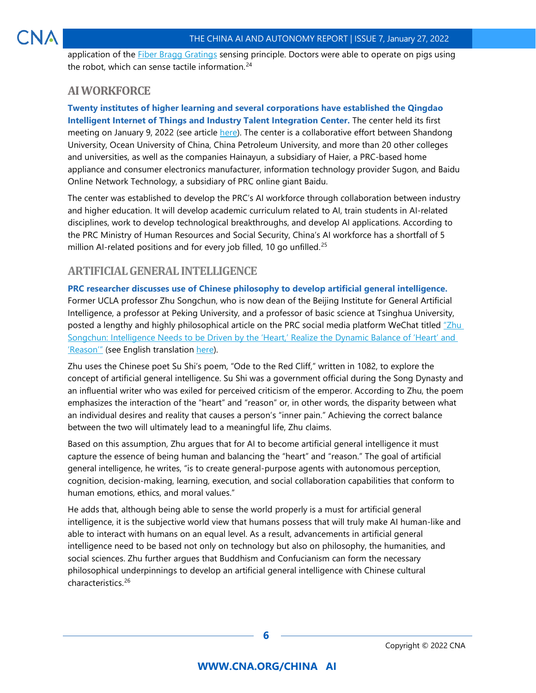application of the [Fiber Bragg Gratings](https://fbgs.com/technology/) sensing principle. Doctors were able to operate on pigs using the robot, which can sense tactile information. [24](#page-8-0)

# <span id="page-5-0"></span>**AI WORKFORCE**

**Twenty institutes of higher learning and several corporations have established the Qingdao Intelligent Internet of Things and Industry Talent Integration Center.** The center held its first meeting on January 9, 2022 (see article [here\)](http://qd.ifeng.com/c/8Ce3Taldec2). The center is a collaborative effort between Shandong University, Ocean University of China, China Petroleum University, and more than 20 other colleges and universities, as well as the companies Hainayun, a subsidiary of Haier, a PRC-based home appliance and consumer electronics manufacturer, information technology provider Sugon, and Baidu Online Network Technology, a subsidiary of PRC online giant Baidu.

The center was established to develop the PRC's AI workforce through collaboration between industry and higher education. It will develop academic curriculum related to AI, train students in AI-related disciplines, work to develop technological breakthroughs, and develop AI applications. According to the PRC Ministry of Human Resources and Social Security, China's AI workforce has a shortfall of 5 million AI-related positions and for every job filled, 10 go unfilled.<sup>[25](#page-8-1)</sup>

# <span id="page-5-1"></span>**ARTIFICIAL GENERAL INTELLIGENCE**

**PRC researcher discusses use of Chinese philosophy to develop artificial general intelligence.** Former UCLA professor Zhu Songchun, who is now dean of the Beijing Institute for General Artificial Intelligence, a professor at Peking University, and a professor of basic science at Tsinghua University, posted a lengthy and highly philosophical article on the PRC social media platform WeChat titled ["Zhu](https://mp.weixin.qq.com/s/FMraladW0255C-yeU5aIfA)  [Songchun: Intelligence Needs to be Driven by the 'Heart,' Realize the Dynamic Balance of 'Heart' and](https://mp.weixin.qq.com/s/FMraladW0255C-yeU5aIfA)  ['Reason'"](https://mp.weixin.qq.com/s/FMraladW0255C-yeU5aIfA) (see English translation [here\)](https://chinai.substack.com/p/chinai-169-general-artificial-intelligence?token=eyJ1c2VyX2lkIjo3NSwicG9zdF9pZCI6NDY4MDg0NTgsIl8iOiJIeGtRZCIsImlhdCI6MTY0MjQyNjM4OSwiZXhwIjoxNjQyNDI5OTg5LCJpc3MiOiJwdWItMjY2MCIsInN1YiI6InBvc3QtcmVhY3Rpb24ifQ.BipdD4dJDZEIAfG0c5HSQ2vKbOCHLCwV4gGuhhjnpsU).

Zhu uses the Chinese poet Su Shi's poem, "Ode to the Red Cliff," written in 1082, to explore the concept of artificial general intelligence. Su Shi was a government official during the Song Dynasty and an influential writer who was exiled for perceived criticism of the emperor. According to Zhu, the poem emphasizes the interaction of the "heart" and "reason" or, in other words, the disparity between what an individual desires and reality that causes a person's "inner pain." Achieving the correct balance between the two will ultimately lead to a meaningful life, Zhu claims.

Based on this assumption, Zhu argues that for AI to become artificial general intelligence it must capture the essence of being human and balancing the "heart" and "reason." The goal of artificial general intelligence, he writes, "is to create general-purpose agents with autonomous perception, cognition, decision-making, learning, execution, and social collaboration capabilities that conform to human emotions, ethics, and moral values."

He adds that, although being able to sense the world properly is a must for artificial general intelligence, it is the subjective world view that humans possess that will truly make AI human-like and able to interact with humans on an equal level. As a result, advancements in artificial general intelligence need to be based not only on technology but also on philosophy, the humanities, and social sciences. Zhu further argues that Buddhism and Confucianism can form the necessary philosophical underpinnings to develop an artificial general intelligence with Chinese cultural characteristics.[26](#page-8-2)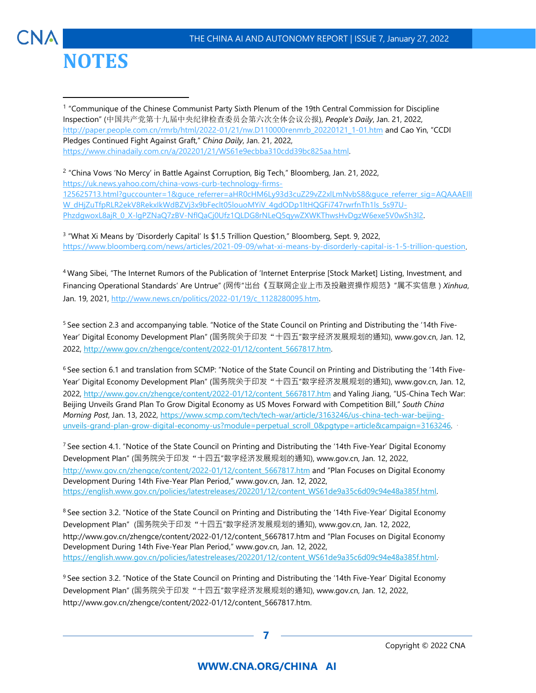<span id="page-6-0"></span>

<span id="page-6-1"></span><sup>1</sup> "Communique of the Chinese Communist Party Sixth Plenum of the 19th Central Commission for Discipline Inspection" (中国共产党第十九届中央纪律检查委员会第六次全体会议公报), *People's Daily*, Jan. 21, 2022, [http://paper.people.com.cn/rmrb/html/2022-01/21/nw.D110000renmrb\\_20220121\\_1-01.htm](http://paper.people.com.cn/rmrb/html/2022-01/21/nw.D110000renmrb_20220121_1-01.htm) and Cao Yin, "CCDI Pledges Continued Fight Against Graft," *China Daily*, Jan. 21, 2022, [https://www.chinadaily.com.cn/a/202201/21/WS61e9ecbba310cdd39bc825aa.html.](https://www.chinadaily.com.cn/a/202201/21/WS61e9ecbba310cdd39bc825aa.html)

<span id="page-6-2"></span><sup>2</sup> "China Vows 'No Mercy' in Battle Against Corruption, Big Tech," Bloomberg, Jan. 21, 2022, [https://uk.news.yahoo.com/china-vows-curb-technology-firms-](https://uk.news.yahoo.com/china-vows-curb-technology-firms-125625713.html?guccounter=1&guce_referrer=aHR0cHM6Ly93d3cuZ29vZ2xlLmNvbS8&guce_referrer_sig=AQAAAEIllW_dHjZuTfpRLR2ekV8RekxIkWdBZVj3x9bFeclt05louoMYiV_4gdODp1ltHQGFi747rwrfnTh1ls_5s97U-PhzdgwoxL8ajR_0_X-lgPZNaQ7zBV-NflQaCj0Ufz1QLDG8rNLeQ5qywZXWKThwsHvDgzW6exe5V0wSh3l2)[125625713.html?guccounter=1&guce\\_referrer=aHR0cHM6Ly93d3cuZ29vZ2xlLmNvbS8&guce\\_referrer\\_sig=AQAAAEIll](https://uk.news.yahoo.com/china-vows-curb-technology-firms-125625713.html?guccounter=1&guce_referrer=aHR0cHM6Ly93d3cuZ29vZ2xlLmNvbS8&guce_referrer_sig=AQAAAEIllW_dHjZuTfpRLR2ekV8RekxIkWdBZVj3x9bFeclt05louoMYiV_4gdODp1ltHQGFi747rwrfnTh1ls_5s97U-PhzdgwoxL8ajR_0_X-lgPZNaQ7zBV-NflQaCj0Ufz1QLDG8rNLeQ5qywZXWKThwsHvDgzW6exe5V0wSh3l2) [W\\_dHjZuTfpRLR2ekV8RekxIkWdBZVj3x9bFeclt05louoMYiV\\_4gdODp1ltHQGFi747rwrfnTh1ls\\_5s97U-](https://uk.news.yahoo.com/china-vows-curb-technology-firms-125625713.html?guccounter=1&guce_referrer=aHR0cHM6Ly93d3cuZ29vZ2xlLmNvbS8&guce_referrer_sig=AQAAAEIllW_dHjZuTfpRLR2ekV8RekxIkWdBZVj3x9bFeclt05louoMYiV_4gdODp1ltHQGFi747rwrfnTh1ls_5s97U-PhzdgwoxL8ajR_0_X-lgPZNaQ7zBV-NflQaCj0Ufz1QLDG8rNLeQ5qywZXWKThwsHvDgzW6exe5V0wSh3l2)[PhzdgwoxL8ajR\\_0\\_X-lgPZNaQ7zBV-NflQaCj0Ufz1QLDG8rNLeQ5qywZXWKThwsHvDgzW6exe5V0wSh3l2.](https://uk.news.yahoo.com/china-vows-curb-technology-firms-125625713.html?guccounter=1&guce_referrer=aHR0cHM6Ly93d3cuZ29vZ2xlLmNvbS8&guce_referrer_sig=AQAAAEIllW_dHjZuTfpRLR2ekV8RekxIkWdBZVj3x9bFeclt05louoMYiV_4gdODp1ltHQGFi747rwrfnTh1ls_5s97U-PhzdgwoxL8ajR_0_X-lgPZNaQ7zBV-NflQaCj0Ufz1QLDG8rNLeQ5qywZXWKThwsHvDgzW6exe5V0wSh3l2)

<span id="page-6-3"></span><sup>3</sup> "What Xi Means by 'Disorderly Capital' Is \$1.5 Trillion Question," Bloomberg, Sept. 9, 2022, [https://www.bloomberg.com/news/articles/2021-09-09/what-xi-means-by-disorderly-capital-is-1-5-trillion-question.](https://www.bloomberg.com/news/articles/2021-09-09/what-xi-means-by-disorderly-capital-is-1-5-trillion-question)

<span id="page-6-4"></span><sup>4</sup> Wang Sibei, "The Internet Rumors of the Publication of 'Internet Enterprise [Stock Market] Listing, Investment, and Financing Operational Standards' Are Untrue" (网传"出台《互联网企业上市及投融资操作规范》"属不实信息 ) *Xinhua*, Jan. 19, 2021, [http://www.news.cn/politics/2022-01/19/c\\_1128280095.htm.](http://www.news.cn/politics/2022-01/19/c_1128280095.htm) 

<span id="page-6-5"></span><sup>5</sup> See section 2.3 and accompanying table. "Notice of the State Council on Printing and Distributing the '14th Five-Year' Digital Economy Development Plan" (国务院关于印发"十四五"数字经济发展规划的通知), [www.gov.cn,](http://www.gov.cn/) Jan. 12, 2022, [http://www.gov.cn/zhengce/content/2022-01/12/content\\_5667817.htm.](http://www.gov.cn/zhengce/content/2022-01/12/content_5667817.htm) 

<span id="page-6-6"></span><sup>6</sup> See section 6.1 and translation from SCMP: "Notice of the State Council on Printing and Distributing the '14th Five-Year' Digital Economy Development Plan" (国务院关于印发"十四五"数字经济发展规划的通知), [www.gov.cn,](http://www.gov.cn/) Jan. 12, 2022, http://www.gov.cn/zhengce/content/2022-01/12/content 5667817.htm and Yaling Jiang, "US-China Tech War: Beijing Unveils Grand Plan To Grow Digital Economy as US Moves Forward with Competition Bill," *South China Morning Post*, Jan. 13, 2022, [https://www.scmp.com/tech/tech-war/article/3163246/us-china-tech-war-beijing](https://www.scmp.com/tech/tech-war/article/3163246/us-china-tech-war-beijing-unveils-grand-plan-grow-digital-economy-us?module=perpetual_scroll_0&pgtype=article&campaign=3163246)[unveils-grand-plan-grow-digital-economy-us?module=perpetual\\_scroll\\_0&pgtype=article&campaign=3163246.](https://www.scmp.com/tech/tech-war/article/3163246/us-china-tech-war-beijing-unveils-grand-plan-grow-digital-economy-us?module=perpetual_scroll_0&pgtype=article&campaign=3163246)

<span id="page-6-7"></span> $7$  See section 4.1. "Notice of the State Council on Printing and Distributing the '14th Five-Year' Digital Economy Development Plan" (国务院关于印发"十四五"数字经济发展规划的通知), [www.gov.cn,](http://www.gov.cn/) Jan. 12, 2022, [http://www.gov.cn/zhengce/content/2022-01/12/content\\_5667817.htm](http://www.gov.cn/zhengce/content/2022-01/12/content_5667817.htm) and "Plan Focuses on Digital Economy Development During 14th Five-Year Plan Period," [www.gov.cn,](http://www.gov.cn/) Jan. 12, 2022, https://english.www.gov.cn/policies/latestreleases/202201/12/content\_WS61de9a35c6d09c94e48a385f.html.

<span id="page-6-8"></span><sup>8</sup> See section 3.2. "Notice of the State Council on Printing and Distributing the '14th Five-Year' Digital Economy Development Plan" (国务院关于印发"十四五"数字经济发展规划的通知), [www.gov.cn,](http://www.gov.cn/) Jan. 12, 2022, [http://www.gov.cn/zhengce/content/2022-01/12/content\\_5667817.htm](http://www.gov.cn/zhengce/content/2022-01/12/content_5667817.htm) and "Plan Focuses on Digital Economy Development During 14th Five-Year Plan Period," [www.gov.cn,](http://www.gov.cn/) Jan. 12, 2022, https://english.www.gov.cn/policies/latestreleases/202201/12/content\_WS61de9a35c6d09c94e48a385f.html

<span id="page-6-9"></span><sup>9</sup> See section 3.2. "Notice of the State Council on Printing and Distributing the '14th Five-Year' Digital Economy Development Plan" (国务院关于印发"十四五"数字经济发展规划的通知), [www.gov.cn,](http://www.gov.cn/) Jan. 12, 2022, [http://www.gov.cn/zhengce/content/2022-01/12/content\\_5667817.htm.](http://www.gov.cn/zhengce/content/2022-01/12/content_5667817.htm)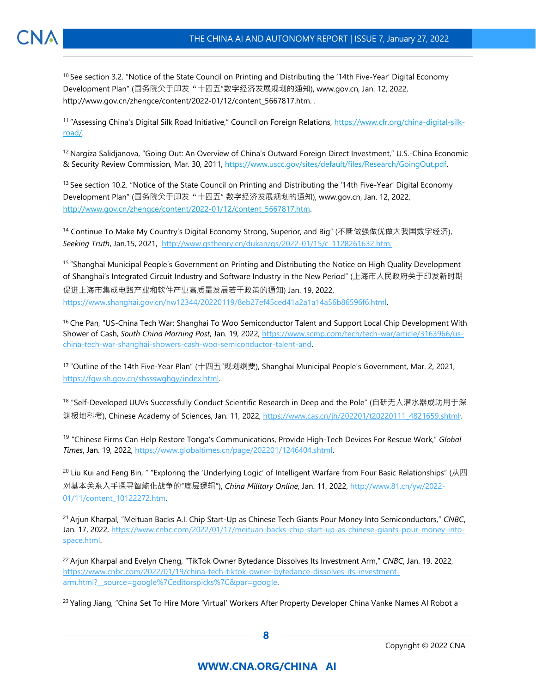<span id="page-7-0"></span>

<sup>10</sup> See section 3.2. "Notice of the State Council on Printing and Distributing the '14th Five-Year' Digital Economy Development Plan" (国务院关于印发"十四五"数字经济发展规划的通知), [www.gov.cn,](http://www.gov.cn/) Jan. 12, 2022, [http://www.gov.cn/zhengce/content/2022-01/12/content\\_5667817.htm.](http://www.gov.cn/zhengce/content/2022-01/12/content_5667817.htm) .

<span id="page-7-1"></span><sup>11</sup> "Assessing China's Digital Silk Road Initiative," Council on Foreign Relations, [https://www.cfr.org/china-digital-silk](https://www.cfr.org/china-digital-silk-road/)[road/.](https://www.cfr.org/china-digital-silk-road/)

<span id="page-7-2"></span><sup>12</sup> Nargiza Salidjanova, "Going Out: An Overview of China's Outward Foreign Direct Investment," U.S.-China Economic & Security Review Commission, Mar. 30, 2011, [https://www.uscc.gov/sites/default/files/Research/GoingOut.pdf.](https://www.uscc.gov/sites/default/files/Research/GoingOut.pdf)

<span id="page-7-3"></span><sup>13</sup> See section 10.2. "Notice of the State Council on Printing and Distributing the '14th Five-Year' Digital Economy Development Plan" (国务院关于印发"十四五" 数字经济发展规划的通知), [www.gov.cn,](http://www.gov.cn/) Jan. 12, 2022, [http://www.gov.cn/zhengce/content/2022-01/12/content\\_5667817.htm.](http://www.gov.cn/zhengce/content/2022-01/12/content_5667817.htm)

<span id="page-7-4"></span><sup>14</sup> Continue To Make My Country's Digital Economy Strong, Superior, and Big" (不断做强做优做大我国数字经济), *Seeking Truth*, Jan.15, 2021, [http://www.qstheory.cn/dukan/qs/2022-01/15/c\\_1128261632.htm.](http://www.qstheory.cn/dukan/qs/2022-01/15/c_1128261632.htm)

<span id="page-7-5"></span><sup>15</sup> "Shanghai Municipal People's Government on Printing and Distributing the Notice on High Quality Development of Shanghai's Integrated Circuit Industry and Software Industry in the New Period" (上海市人民政府关于印发新时期 促进上海市集成电路产业和软件产业高质量发展若干政策的通知) Jan. 19, 2022, [https://www.shanghai.gov.cn/nw12344/20220119/8eb27ef45ced41a2a1a14a56b86596f6.html.](https://www.shanghai.gov.cn/nw12344/20220119/8eb27ef45ced41a2a1a14a56b86596f6.html)

<span id="page-7-6"></span><sup>16</sup> Che Pan, "US-China Tech War: Shanghai To Woo Semiconductor Talent and Support Local Chip Development With Shower of Cash, *South China Morning Post*, Jan. 19, 2022, [https://www.scmp.com/tech/tech-war/article/3163966/us](https://www.scmp.com/tech/tech-war/article/3163966/us-china-tech-war-shanghai-showers-cash-woo-semiconductor-talent-and)[china-tech-war-shanghai-showers-cash-woo-semiconductor-talent-and.](https://www.scmp.com/tech/tech-war/article/3163966/us-china-tech-war-shanghai-showers-cash-woo-semiconductor-talent-and)

<span id="page-7-7"></span><sup>17</sup> "Outline of the 14th Five-Year Plan" (十四五"规划纲要), Shanghai Municipal People's Government, Mar. 2, 2021, [https://fgw.sh.gov.cn/shssswghgy/index.html.](https://fgw.sh.gov.cn/shssswghgy/index.html)

<span id="page-7-8"></span><sup>18</sup> "Self-Developed UUVs Successfully Conduct Scientific Research in Deep and the Pole" (自研无人潜水器成功用于深 渊极地科考), Chinese Academy of Sciences, Jan. 11, 2022, <u>https://www.cas.cn/jh/202201/t20220111\_4821659.shtml</u>.

<span id="page-7-9"></span><sup>19</sup> "Chinese Firms Can Help Restore Tonga's Communications, Provide High-Tech Devices For Rescue Work," *Global Times*, Jan. 19, 2022, [https://www.globaltimes.cn/page/202201/1246404.shtml.](https://www.globaltimes.cn/page/202201/1246404.shtml)

<span id="page-7-10"></span> $20$  Liu Kui and Feng Bin, " "Exploring the 'Underlying Logic' of Intelligent Warfare from Four Basic Relationships" (从四 对基本关系入手探寻智能化战争的"底层逻辑"), *China Military Online*, Jan. 11, 2022, [http://www.81.cn/yw/2022-](http://www.81.cn/yw/2022-01/11/content_10122272.htm) [01/11/content\\_10122272.htm.](http://www.81.cn/yw/2022-01/11/content_10122272.htm)

<span id="page-7-11"></span><sup>21</sup> Arjun Kharpal, "Meituan Backs A.I. Chip Start-Up as Chinese Tech Giants Pour Money Into Semiconductors," *CNBC*, Jan. 17, 2022, [https://www.cnbc.com/2022/01/17/meituan-backs-chip-start-up-as-chinese-giants-pour-money-into](https://www.cnbc.com/2022/01/17/meituan-backs-chip-start-up-as-chinese-giants-pour-money-into-space.html)[space.html.](https://www.cnbc.com/2022/01/17/meituan-backs-chip-start-up-as-chinese-giants-pour-money-into-space.html)

<span id="page-7-12"></span><sup>22</sup> Arjun Kharpal and Evelyn Cheng, "TikTok Owner Bytedance Dissolves Its Investment Arm," *CNBC*, Jan. 19. 2022, [https://www.cnbc.com/2022/01/19/china-tech-tiktok-owner-bytedance-dissolves-its-investment](https://www.cnbc.com/2022/01/19/china-tech-tiktok-owner-bytedance-dissolves-its-investment-arm.html?__source=google%7Ceditorspicks%7C&par=google)[arm.html?\\_\\_source=google%7Ceditorspicks%7C&par=google.](https://www.cnbc.com/2022/01/19/china-tech-tiktok-owner-bytedance-dissolves-its-investment-arm.html?__source=google%7Ceditorspicks%7C&par=google)

<span id="page-7-13"></span><sup>23</sup> Yaling Jiang, "China Set To Hire More 'Virtual' Workers After Property Developer China Vanke Names AI Robot a

# **[WWW.CNA.ORG/CHINA](http://www.cna.org/CHINA) AI**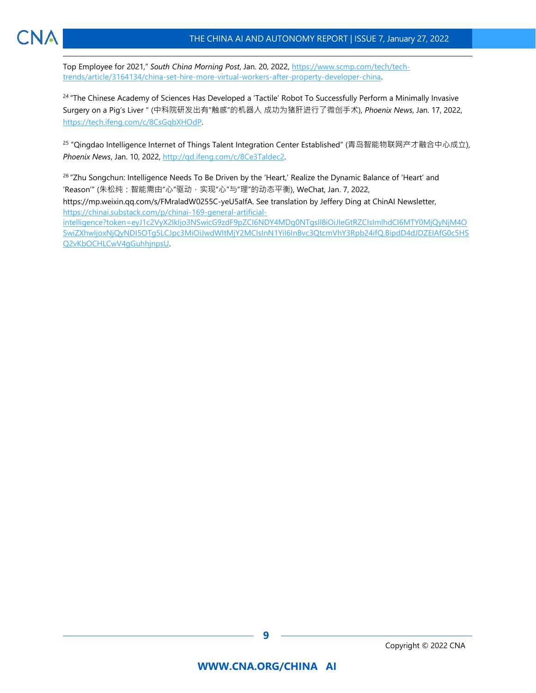

Top Employee for 2021," *South China Morning Post*, Jan. 20, 2022, [https://www.scmp.com/tech/tech](https://www.scmp.com/tech/tech-trends/article/3164134/china-set-hire-more-virtual-workers-after-property-developer-china)[trends/article/3164134/china-set-hire-more-virtual-workers-after-property-developer-china.](https://www.scmp.com/tech/tech-trends/article/3164134/china-set-hire-more-virtual-workers-after-property-developer-china)

<span id="page-8-0"></span><sup>24</sup> "The Chinese Academy of Sciences Has Developed a 'Tactile' Robot To Successfully Perform a Minimally Invasive Surgery on a Pig's Liver " (中科院研发出有"触感"的机器人 成功为猪肝进行了微创手术), *Phoenix News*, Jan. 17, 2022, [https://tech.ifeng.com/c/8CsGqbXHOdP.](https://tech.ifeng.com/c/8CsGqbXHOdP)

<span id="page-8-1"></span><sup>25</sup> "Qingdao Intelligence Internet of Things Talent Integration Center Established" (青岛智能物联网产才融合中心成立), *Phoenix News*, Jan. 10, 2022, [http://qd.ifeng.com/c/8Ce3Taldec2.](http://qd.ifeng.com/c/8Ce3Taldec2)

<span id="page-8-2"></span><sup>26</sup> "Zhu Songchun: Intelligence Needs To Be Driven by the 'Heart,' Realize the Dynamic Balance of 'Heart' and 'Reason'" (朱松纯: 智能需由"心"驱动,实现"心"与"理"的动态平衡), WeChat, Jan. 7, 2022, [https://mp.weixin.qq.com/s/FMraladW0255C-yeU5aIfA.](https://mp.weixin.qq.com/s/FMraladW0255C-yeU5aIfA) See translation by Jeffery Ding at ChinAI Newsletter, [https://chinai.substack.com/p/chinai-169-general-artificial](https://chinai.substack.com/p/chinai-169-general-artificial-intelligence?token=eyJ1c2VyX2lkIjo3NSwicG9zdF9pZCI6NDY4MDg0NTgsIl8iOiJIeGtRZCIsImlhdCI6MTY0MjQyNjM4OSwiZXhwIjoxNjQyNDI5OTg5LCJpc3MiOiJwdWItMjY2MCIsInN1YiI6InBvc3QtcmVhY3Rpb24ifQ.BipdD4dJDZEIAfG0c5HSQ2vKbOCHLCwV4gGuhhjnpsU)[intelligence?token=eyJ1c2VyX2lkIjo3NSwicG9zdF9pZCI6NDY4MDg0NTgsIl8iOiJIeGtRZCIsImlhdCI6MTY0MjQyNjM4O](https://chinai.substack.com/p/chinai-169-general-artificial-intelligence?token=eyJ1c2VyX2lkIjo3NSwicG9zdF9pZCI6NDY4MDg0NTgsIl8iOiJIeGtRZCIsImlhdCI6MTY0MjQyNjM4OSwiZXhwIjoxNjQyNDI5OTg5LCJpc3MiOiJwdWItMjY2MCIsInN1YiI6InBvc3QtcmVhY3Rpb24ifQ.BipdD4dJDZEIAfG0c5HSQ2vKbOCHLCwV4gGuhhjnpsU) [SwiZXhwIjoxNjQyNDI5OTg5LCJpc3MiOiJwdWItMjY2MCIsInN1YiI6InBvc3QtcmVhY3Rpb24ifQ.BipdD4dJDZEIAfG0c5HS](https://chinai.substack.com/p/chinai-169-general-artificial-intelligence?token=eyJ1c2VyX2lkIjo3NSwicG9zdF9pZCI6NDY4MDg0NTgsIl8iOiJIeGtRZCIsImlhdCI6MTY0MjQyNjM4OSwiZXhwIjoxNjQyNDI5OTg5LCJpc3MiOiJwdWItMjY2MCIsInN1YiI6InBvc3QtcmVhY3Rpb24ifQ.BipdD4dJDZEIAfG0c5HSQ2vKbOCHLCwV4gGuhhjnpsU) [Q2vKbOCHLCwV4gGuhhjnpsU.](https://chinai.substack.com/p/chinai-169-general-artificial-intelligence?token=eyJ1c2VyX2lkIjo3NSwicG9zdF9pZCI6NDY4MDg0NTgsIl8iOiJIeGtRZCIsImlhdCI6MTY0MjQyNjM4OSwiZXhwIjoxNjQyNDI5OTg5LCJpc3MiOiJwdWItMjY2MCIsInN1YiI6InBvc3QtcmVhY3Rpb24ifQ.BipdD4dJDZEIAfG0c5HSQ2vKbOCHLCwV4gGuhhjnpsU)